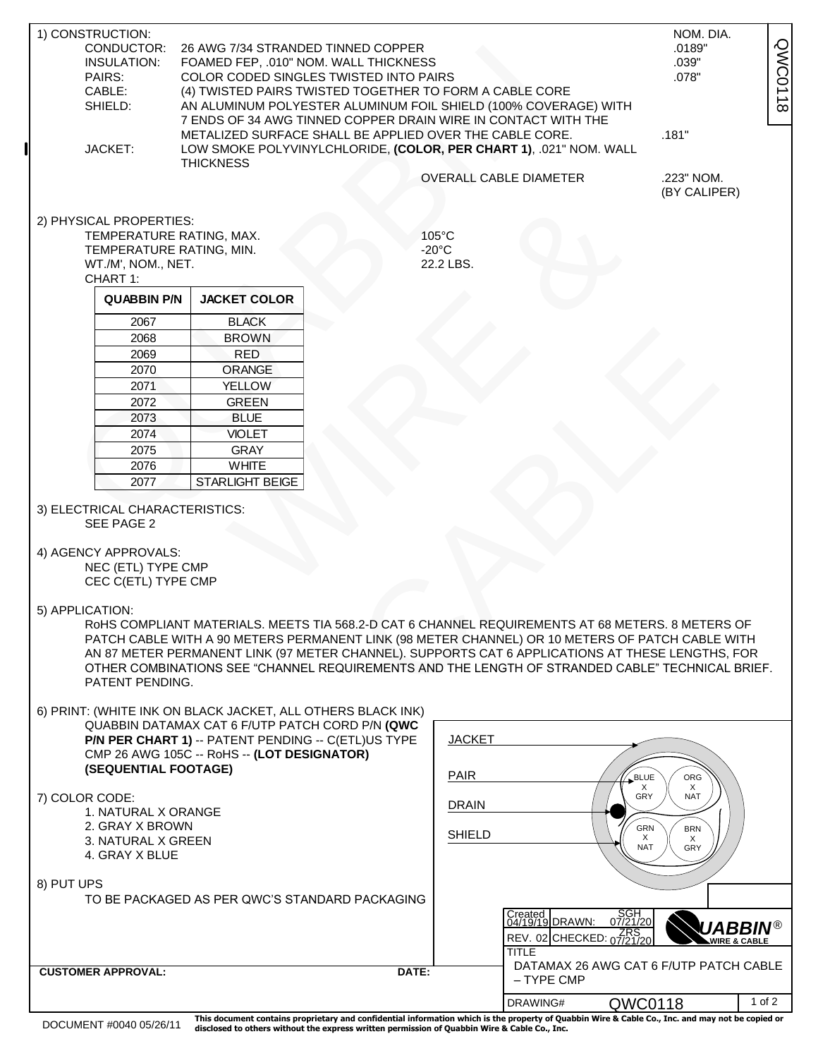| <b>QWC0118</b><br>CONDUCTOR:<br>26 AWG 7/34 STRANDED TINNED COPPER<br>.0189"<br>INSULATION:<br>FOAMED FEP, .010" NOM. WALL THICKNESS<br>.039"<br>.078"<br>PAIRS:<br>COLOR CODED SINGLES TWISTED INTO PAIRS<br>CABLE:<br>(4) TWISTED PAIRS TWISTED TOGETHER TO FORM A CABLE CORE<br>SHIELD:<br>AN ALUMINUM POLYESTER ALUMINUM FOIL SHIELD (100% COVERAGE) WITH<br>7 ENDS OF 34 AWG TINNED COPPER DRAIN WIRE IN CONTACT WITH THE<br>.181"<br>METALIZED SURFACE SHALL BE APPLIED OVER THE CABLE CORE.<br>JACKET:<br>LOW SMOKE POLYVINYLCHLORIDE, (COLOR, PER CHART 1), .021" NOM. WALL<br><b>THICKNESS</b><br>.223" NOM.<br><b>OVERALL CABLE DIAMETER</b><br>(BY CALIPER)<br>2) PHYSICAL PROPERTIES:<br>105°C<br>TEMPERATURE RATING, MAX.<br>$-20^{\circ}$ C<br>TEMPERATURE RATING, MIN.<br>22.2 LBS.<br>WT./M', NOM., NET.<br>CHART 1:<br><b>QUABBIN P/N</b><br><b>JACKET COLOR</b><br><b>BLACK</b><br>2067<br>2068<br><b>BROWN</b><br>2069<br><b>RED</b><br>2070<br>ORANGE<br>2071<br><b>YELLOW</b><br>2072<br><b>GREEN</b><br><b>BLUE</b><br>2073<br>2074<br><b>VIOLET</b><br><b>GRAY</b><br>2075<br>2076<br><b>WHITE</b><br>2077<br>STARLIGHT BEIGE<br>3) ELECTRICAL CHARACTERISTICS:<br>SEE PAGE 2<br>4) AGENCY APPROVALS:<br>NEC (ETL) TYPE CMP<br>CEC C(ETL) TYPE CMP<br>5) APPLICATION:<br>RoHS COMPLIANT MATERIALS. MEETS TIA 568.2-D CAT 6 CHANNEL REQUIREMENTS AT 68 METERS. 8 METERS OF<br>PATCH CABLE WITH A 90 METERS PERMANENT LINK (98 METER CHANNEL) OR 10 METERS OF PATCH CABLE WITH<br>AN 87 METER PERMANENT LINK (97 METER CHANNEL). SUPPORTS CAT 6 APPLICATIONS AT THESE LENGTHS, FOR<br>OTHER COMBINATIONS SEE "CHANNEL REQUIREMENTS AND THE LENGTH OF STRANDED CABLE" TECHNICAL BRIEF.<br>PATENT PENDING.<br>6) PRINT: (WHITE INK ON BLACK JACKET, ALL OTHERS BLACK INK)<br>QUABBIN DATAMAX CAT 6 F/UTP PATCH CORD P/N (QWC<br><b>JACKET</b><br>P/N PER CHART 1) -- PATENT PENDING -- C(ETL)US TYPE<br>CMP 26 AWG 105C -- RoHS -- (LOT DESIGNATOR)<br>(SEQUENTIAL FOOTAGE)<br><b>PAIR</b><br>BLUE<br>ORG<br>Χ<br>X<br>GRY<br><b>NAT</b><br>7) COLOR CODE:<br><b>DRAIN</b><br>1. NATURAL X ORANGE<br>2. GRAY X BROWN<br>GRN<br><b>BRN</b><br><b>SHIELD</b><br>X<br>Χ<br>3. NATURAL X GREEN<br><b>NAT</b><br>GRY<br>4. GRAY X BLUE<br>8) PUT UPS<br>TO BE PACKAGED AS PER QWC'S STANDARD PACKAGING<br>SGH<br>07/21/20<br>Created<br>04/19/19 DRAWN:<br>UABBIN®<br>REV. 02 CHECKED: 07/21/20<br><b>WIRE &amp; CABLE</b><br><b>TITLE</b><br>DATAMAX 26 AWG CAT 6 F/UTP PATCH CABLE<br><b>CUSTOMER APPROVAL:</b><br>DATE:<br>- TYPE CMP<br>$1$ of $2$<br>DRAWING#<br>QWC0118 |  | 1) CONSTRUCTION: |  |  |  |  | NOM. DIA. |  |  |
|---------------------------------------------------------------------------------------------------------------------------------------------------------------------------------------------------------------------------------------------------------------------------------------------------------------------------------------------------------------------------------------------------------------------------------------------------------------------------------------------------------------------------------------------------------------------------------------------------------------------------------------------------------------------------------------------------------------------------------------------------------------------------------------------------------------------------------------------------------------------------------------------------------------------------------------------------------------------------------------------------------------------------------------------------------------------------------------------------------------------------------------------------------------------------------------------------------------------------------------------------------------------------------------------------------------------------------------------------------------------------------------------------------------------------------------------------------------------------------------------------------------------------------------------------------------------------------------------------------------------------------------------------------------------------------------------------------------------------------------------------------------------------------------------------------------------------------------------------------------------------------------------------------------------------------------------------------------------------------------------------------------------------------------------------------------------------------------------------------------------------------------------------------------------------------------------------------------------------------------------------------------------------------------------------------------------------------------------------------------------------------------------------------------------------------------------------------------------------------------------------------------------------------------------------------------------------------------------|--|------------------|--|--|--|--|-----------|--|--|
|                                                                                                                                                                                                                                                                                                                                                                                                                                                                                                                                                                                                                                                                                                                                                                                                                                                                                                                                                                                                                                                                                                                                                                                                                                                                                                                                                                                                                                                                                                                                                                                                                                                                                                                                                                                                                                                                                                                                                                                                                                                                                                                                                                                                                                                                                                                                                                                                                                                                                                                                                                                             |  |                  |  |  |  |  |           |  |  |
|                                                                                                                                                                                                                                                                                                                                                                                                                                                                                                                                                                                                                                                                                                                                                                                                                                                                                                                                                                                                                                                                                                                                                                                                                                                                                                                                                                                                                                                                                                                                                                                                                                                                                                                                                                                                                                                                                                                                                                                                                                                                                                                                                                                                                                                                                                                                                                                                                                                                                                                                                                                             |  |                  |  |  |  |  |           |  |  |
|                                                                                                                                                                                                                                                                                                                                                                                                                                                                                                                                                                                                                                                                                                                                                                                                                                                                                                                                                                                                                                                                                                                                                                                                                                                                                                                                                                                                                                                                                                                                                                                                                                                                                                                                                                                                                                                                                                                                                                                                                                                                                                                                                                                                                                                                                                                                                                                                                                                                                                                                                                                             |  |                  |  |  |  |  |           |  |  |
|                                                                                                                                                                                                                                                                                                                                                                                                                                                                                                                                                                                                                                                                                                                                                                                                                                                                                                                                                                                                                                                                                                                                                                                                                                                                                                                                                                                                                                                                                                                                                                                                                                                                                                                                                                                                                                                                                                                                                                                                                                                                                                                                                                                                                                                                                                                                                                                                                                                                                                                                                                                             |  |                  |  |  |  |  |           |  |  |
|                                                                                                                                                                                                                                                                                                                                                                                                                                                                                                                                                                                                                                                                                                                                                                                                                                                                                                                                                                                                                                                                                                                                                                                                                                                                                                                                                                                                                                                                                                                                                                                                                                                                                                                                                                                                                                                                                                                                                                                                                                                                                                                                                                                                                                                                                                                                                                                                                                                                                                                                                                                             |  |                  |  |  |  |  |           |  |  |
|                                                                                                                                                                                                                                                                                                                                                                                                                                                                                                                                                                                                                                                                                                                                                                                                                                                                                                                                                                                                                                                                                                                                                                                                                                                                                                                                                                                                                                                                                                                                                                                                                                                                                                                                                                                                                                                                                                                                                                                                                                                                                                                                                                                                                                                                                                                                                                                                                                                                                                                                                                                             |  |                  |  |  |  |  |           |  |  |
|                                                                                                                                                                                                                                                                                                                                                                                                                                                                                                                                                                                                                                                                                                                                                                                                                                                                                                                                                                                                                                                                                                                                                                                                                                                                                                                                                                                                                                                                                                                                                                                                                                                                                                                                                                                                                                                                                                                                                                                                                                                                                                                                                                                                                                                                                                                                                                                                                                                                                                                                                                                             |  |                  |  |  |  |  |           |  |  |
|                                                                                                                                                                                                                                                                                                                                                                                                                                                                                                                                                                                                                                                                                                                                                                                                                                                                                                                                                                                                                                                                                                                                                                                                                                                                                                                                                                                                                                                                                                                                                                                                                                                                                                                                                                                                                                                                                                                                                                                                                                                                                                                                                                                                                                                                                                                                                                                                                                                                                                                                                                                             |  |                  |  |  |  |  |           |  |  |
|                                                                                                                                                                                                                                                                                                                                                                                                                                                                                                                                                                                                                                                                                                                                                                                                                                                                                                                                                                                                                                                                                                                                                                                                                                                                                                                                                                                                                                                                                                                                                                                                                                                                                                                                                                                                                                                                                                                                                                                                                                                                                                                                                                                                                                                                                                                                                                                                                                                                                                                                                                                             |  |                  |  |  |  |  |           |  |  |
|                                                                                                                                                                                                                                                                                                                                                                                                                                                                                                                                                                                                                                                                                                                                                                                                                                                                                                                                                                                                                                                                                                                                                                                                                                                                                                                                                                                                                                                                                                                                                                                                                                                                                                                                                                                                                                                                                                                                                                                                                                                                                                                                                                                                                                                                                                                                                                                                                                                                                                                                                                                             |  |                  |  |  |  |  |           |  |  |
|                                                                                                                                                                                                                                                                                                                                                                                                                                                                                                                                                                                                                                                                                                                                                                                                                                                                                                                                                                                                                                                                                                                                                                                                                                                                                                                                                                                                                                                                                                                                                                                                                                                                                                                                                                                                                                                                                                                                                                                                                                                                                                                                                                                                                                                                                                                                                                                                                                                                                                                                                                                             |  |                  |  |  |  |  |           |  |  |
|                                                                                                                                                                                                                                                                                                                                                                                                                                                                                                                                                                                                                                                                                                                                                                                                                                                                                                                                                                                                                                                                                                                                                                                                                                                                                                                                                                                                                                                                                                                                                                                                                                                                                                                                                                                                                                                                                                                                                                                                                                                                                                                                                                                                                                                                                                                                                                                                                                                                                                                                                                                             |  |                  |  |  |  |  |           |  |  |
|                                                                                                                                                                                                                                                                                                                                                                                                                                                                                                                                                                                                                                                                                                                                                                                                                                                                                                                                                                                                                                                                                                                                                                                                                                                                                                                                                                                                                                                                                                                                                                                                                                                                                                                                                                                                                                                                                                                                                                                                                                                                                                                                                                                                                                                                                                                                                                                                                                                                                                                                                                                             |  |                  |  |  |  |  |           |  |  |
|                                                                                                                                                                                                                                                                                                                                                                                                                                                                                                                                                                                                                                                                                                                                                                                                                                                                                                                                                                                                                                                                                                                                                                                                                                                                                                                                                                                                                                                                                                                                                                                                                                                                                                                                                                                                                                                                                                                                                                                                                                                                                                                                                                                                                                                                                                                                                                                                                                                                                                                                                                                             |  |                  |  |  |  |  |           |  |  |
|                                                                                                                                                                                                                                                                                                                                                                                                                                                                                                                                                                                                                                                                                                                                                                                                                                                                                                                                                                                                                                                                                                                                                                                                                                                                                                                                                                                                                                                                                                                                                                                                                                                                                                                                                                                                                                                                                                                                                                                                                                                                                                                                                                                                                                                                                                                                                                                                                                                                                                                                                                                             |  |                  |  |  |  |  |           |  |  |
|                                                                                                                                                                                                                                                                                                                                                                                                                                                                                                                                                                                                                                                                                                                                                                                                                                                                                                                                                                                                                                                                                                                                                                                                                                                                                                                                                                                                                                                                                                                                                                                                                                                                                                                                                                                                                                                                                                                                                                                                                                                                                                                                                                                                                                                                                                                                                                                                                                                                                                                                                                                             |  |                  |  |  |  |  |           |  |  |
|                                                                                                                                                                                                                                                                                                                                                                                                                                                                                                                                                                                                                                                                                                                                                                                                                                                                                                                                                                                                                                                                                                                                                                                                                                                                                                                                                                                                                                                                                                                                                                                                                                                                                                                                                                                                                                                                                                                                                                                                                                                                                                                                                                                                                                                                                                                                                                                                                                                                                                                                                                                             |  |                  |  |  |  |  |           |  |  |
|                                                                                                                                                                                                                                                                                                                                                                                                                                                                                                                                                                                                                                                                                                                                                                                                                                                                                                                                                                                                                                                                                                                                                                                                                                                                                                                                                                                                                                                                                                                                                                                                                                                                                                                                                                                                                                                                                                                                                                                                                                                                                                                                                                                                                                                                                                                                                                                                                                                                                                                                                                                             |  |                  |  |  |  |  |           |  |  |
|                                                                                                                                                                                                                                                                                                                                                                                                                                                                                                                                                                                                                                                                                                                                                                                                                                                                                                                                                                                                                                                                                                                                                                                                                                                                                                                                                                                                                                                                                                                                                                                                                                                                                                                                                                                                                                                                                                                                                                                                                                                                                                                                                                                                                                                                                                                                                                                                                                                                                                                                                                                             |  |                  |  |  |  |  |           |  |  |
|                                                                                                                                                                                                                                                                                                                                                                                                                                                                                                                                                                                                                                                                                                                                                                                                                                                                                                                                                                                                                                                                                                                                                                                                                                                                                                                                                                                                                                                                                                                                                                                                                                                                                                                                                                                                                                                                                                                                                                                                                                                                                                                                                                                                                                                                                                                                                                                                                                                                                                                                                                                             |  |                  |  |  |  |  |           |  |  |
|                                                                                                                                                                                                                                                                                                                                                                                                                                                                                                                                                                                                                                                                                                                                                                                                                                                                                                                                                                                                                                                                                                                                                                                                                                                                                                                                                                                                                                                                                                                                                                                                                                                                                                                                                                                                                                                                                                                                                                                                                                                                                                                                                                                                                                                                                                                                                                                                                                                                                                                                                                                             |  |                  |  |  |  |  |           |  |  |
|                                                                                                                                                                                                                                                                                                                                                                                                                                                                                                                                                                                                                                                                                                                                                                                                                                                                                                                                                                                                                                                                                                                                                                                                                                                                                                                                                                                                                                                                                                                                                                                                                                                                                                                                                                                                                                                                                                                                                                                                                                                                                                                                                                                                                                                                                                                                                                                                                                                                                                                                                                                             |  |                  |  |  |  |  |           |  |  |
|                                                                                                                                                                                                                                                                                                                                                                                                                                                                                                                                                                                                                                                                                                                                                                                                                                                                                                                                                                                                                                                                                                                                                                                                                                                                                                                                                                                                                                                                                                                                                                                                                                                                                                                                                                                                                                                                                                                                                                                                                                                                                                                                                                                                                                                                                                                                                                                                                                                                                                                                                                                             |  |                  |  |  |  |  |           |  |  |
|                                                                                                                                                                                                                                                                                                                                                                                                                                                                                                                                                                                                                                                                                                                                                                                                                                                                                                                                                                                                                                                                                                                                                                                                                                                                                                                                                                                                                                                                                                                                                                                                                                                                                                                                                                                                                                                                                                                                                                                                                                                                                                                                                                                                                                                                                                                                                                                                                                                                                                                                                                                             |  |                  |  |  |  |  |           |  |  |
|                                                                                                                                                                                                                                                                                                                                                                                                                                                                                                                                                                                                                                                                                                                                                                                                                                                                                                                                                                                                                                                                                                                                                                                                                                                                                                                                                                                                                                                                                                                                                                                                                                                                                                                                                                                                                                                                                                                                                                                                                                                                                                                                                                                                                                                                                                                                                                                                                                                                                                                                                                                             |  |                  |  |  |  |  |           |  |  |
|                                                                                                                                                                                                                                                                                                                                                                                                                                                                                                                                                                                                                                                                                                                                                                                                                                                                                                                                                                                                                                                                                                                                                                                                                                                                                                                                                                                                                                                                                                                                                                                                                                                                                                                                                                                                                                                                                                                                                                                                                                                                                                                                                                                                                                                                                                                                                                                                                                                                                                                                                                                             |  |                  |  |  |  |  |           |  |  |
|                                                                                                                                                                                                                                                                                                                                                                                                                                                                                                                                                                                                                                                                                                                                                                                                                                                                                                                                                                                                                                                                                                                                                                                                                                                                                                                                                                                                                                                                                                                                                                                                                                                                                                                                                                                                                                                                                                                                                                                                                                                                                                                                                                                                                                                                                                                                                                                                                                                                                                                                                                                             |  |                  |  |  |  |  |           |  |  |
|                                                                                                                                                                                                                                                                                                                                                                                                                                                                                                                                                                                                                                                                                                                                                                                                                                                                                                                                                                                                                                                                                                                                                                                                                                                                                                                                                                                                                                                                                                                                                                                                                                                                                                                                                                                                                                                                                                                                                                                                                                                                                                                                                                                                                                                                                                                                                                                                                                                                                                                                                                                             |  |                  |  |  |  |  |           |  |  |
|                                                                                                                                                                                                                                                                                                                                                                                                                                                                                                                                                                                                                                                                                                                                                                                                                                                                                                                                                                                                                                                                                                                                                                                                                                                                                                                                                                                                                                                                                                                                                                                                                                                                                                                                                                                                                                                                                                                                                                                                                                                                                                                                                                                                                                                                                                                                                                                                                                                                                                                                                                                             |  |                  |  |  |  |  |           |  |  |
|                                                                                                                                                                                                                                                                                                                                                                                                                                                                                                                                                                                                                                                                                                                                                                                                                                                                                                                                                                                                                                                                                                                                                                                                                                                                                                                                                                                                                                                                                                                                                                                                                                                                                                                                                                                                                                                                                                                                                                                                                                                                                                                                                                                                                                                                                                                                                                                                                                                                                                                                                                                             |  |                  |  |  |  |  |           |  |  |
|                                                                                                                                                                                                                                                                                                                                                                                                                                                                                                                                                                                                                                                                                                                                                                                                                                                                                                                                                                                                                                                                                                                                                                                                                                                                                                                                                                                                                                                                                                                                                                                                                                                                                                                                                                                                                                                                                                                                                                                                                                                                                                                                                                                                                                                                                                                                                                                                                                                                                                                                                                                             |  |                  |  |  |  |  |           |  |  |
|                                                                                                                                                                                                                                                                                                                                                                                                                                                                                                                                                                                                                                                                                                                                                                                                                                                                                                                                                                                                                                                                                                                                                                                                                                                                                                                                                                                                                                                                                                                                                                                                                                                                                                                                                                                                                                                                                                                                                                                                                                                                                                                                                                                                                                                                                                                                                                                                                                                                                                                                                                                             |  |                  |  |  |  |  |           |  |  |
|                                                                                                                                                                                                                                                                                                                                                                                                                                                                                                                                                                                                                                                                                                                                                                                                                                                                                                                                                                                                                                                                                                                                                                                                                                                                                                                                                                                                                                                                                                                                                                                                                                                                                                                                                                                                                                                                                                                                                                                                                                                                                                                                                                                                                                                                                                                                                                                                                                                                                                                                                                                             |  |                  |  |  |  |  |           |  |  |
|                                                                                                                                                                                                                                                                                                                                                                                                                                                                                                                                                                                                                                                                                                                                                                                                                                                                                                                                                                                                                                                                                                                                                                                                                                                                                                                                                                                                                                                                                                                                                                                                                                                                                                                                                                                                                                                                                                                                                                                                                                                                                                                                                                                                                                                                                                                                                                                                                                                                                                                                                                                             |  |                  |  |  |  |  |           |  |  |
|                                                                                                                                                                                                                                                                                                                                                                                                                                                                                                                                                                                                                                                                                                                                                                                                                                                                                                                                                                                                                                                                                                                                                                                                                                                                                                                                                                                                                                                                                                                                                                                                                                                                                                                                                                                                                                                                                                                                                                                                                                                                                                                                                                                                                                                                                                                                                                                                                                                                                                                                                                                             |  |                  |  |  |  |  |           |  |  |
|                                                                                                                                                                                                                                                                                                                                                                                                                                                                                                                                                                                                                                                                                                                                                                                                                                                                                                                                                                                                                                                                                                                                                                                                                                                                                                                                                                                                                                                                                                                                                                                                                                                                                                                                                                                                                                                                                                                                                                                                                                                                                                                                                                                                                                                                                                                                                                                                                                                                                                                                                                                             |  |                  |  |  |  |  |           |  |  |
|                                                                                                                                                                                                                                                                                                                                                                                                                                                                                                                                                                                                                                                                                                                                                                                                                                                                                                                                                                                                                                                                                                                                                                                                                                                                                                                                                                                                                                                                                                                                                                                                                                                                                                                                                                                                                                                                                                                                                                                                                                                                                                                                                                                                                                                                                                                                                                                                                                                                                                                                                                                             |  |                  |  |  |  |  |           |  |  |
|                                                                                                                                                                                                                                                                                                                                                                                                                                                                                                                                                                                                                                                                                                                                                                                                                                                                                                                                                                                                                                                                                                                                                                                                                                                                                                                                                                                                                                                                                                                                                                                                                                                                                                                                                                                                                                                                                                                                                                                                                                                                                                                                                                                                                                                                                                                                                                                                                                                                                                                                                                                             |  |                  |  |  |  |  |           |  |  |
|                                                                                                                                                                                                                                                                                                                                                                                                                                                                                                                                                                                                                                                                                                                                                                                                                                                                                                                                                                                                                                                                                                                                                                                                                                                                                                                                                                                                                                                                                                                                                                                                                                                                                                                                                                                                                                                                                                                                                                                                                                                                                                                                                                                                                                                                                                                                                                                                                                                                                                                                                                                             |  |                  |  |  |  |  |           |  |  |
|                                                                                                                                                                                                                                                                                                                                                                                                                                                                                                                                                                                                                                                                                                                                                                                                                                                                                                                                                                                                                                                                                                                                                                                                                                                                                                                                                                                                                                                                                                                                                                                                                                                                                                                                                                                                                                                                                                                                                                                                                                                                                                                                                                                                                                                                                                                                                                                                                                                                                                                                                                                             |  |                  |  |  |  |  |           |  |  |
|                                                                                                                                                                                                                                                                                                                                                                                                                                                                                                                                                                                                                                                                                                                                                                                                                                                                                                                                                                                                                                                                                                                                                                                                                                                                                                                                                                                                                                                                                                                                                                                                                                                                                                                                                                                                                                                                                                                                                                                                                                                                                                                                                                                                                                                                                                                                                                                                                                                                                                                                                                                             |  |                  |  |  |  |  |           |  |  |
|                                                                                                                                                                                                                                                                                                                                                                                                                                                                                                                                                                                                                                                                                                                                                                                                                                                                                                                                                                                                                                                                                                                                                                                                                                                                                                                                                                                                                                                                                                                                                                                                                                                                                                                                                                                                                                                                                                                                                                                                                                                                                                                                                                                                                                                                                                                                                                                                                                                                                                                                                                                             |  |                  |  |  |  |  |           |  |  |
|                                                                                                                                                                                                                                                                                                                                                                                                                                                                                                                                                                                                                                                                                                                                                                                                                                                                                                                                                                                                                                                                                                                                                                                                                                                                                                                                                                                                                                                                                                                                                                                                                                                                                                                                                                                                                                                                                                                                                                                                                                                                                                                                                                                                                                                                                                                                                                                                                                                                                                                                                                                             |  |                  |  |  |  |  |           |  |  |
|                                                                                                                                                                                                                                                                                                                                                                                                                                                                                                                                                                                                                                                                                                                                                                                                                                                                                                                                                                                                                                                                                                                                                                                                                                                                                                                                                                                                                                                                                                                                                                                                                                                                                                                                                                                                                                                                                                                                                                                                                                                                                                                                                                                                                                                                                                                                                                                                                                                                                                                                                                                             |  |                  |  |  |  |  |           |  |  |
|                                                                                                                                                                                                                                                                                                                                                                                                                                                                                                                                                                                                                                                                                                                                                                                                                                                                                                                                                                                                                                                                                                                                                                                                                                                                                                                                                                                                                                                                                                                                                                                                                                                                                                                                                                                                                                                                                                                                                                                                                                                                                                                                                                                                                                                                                                                                                                                                                                                                                                                                                                                             |  |                  |  |  |  |  |           |  |  |
|                                                                                                                                                                                                                                                                                                                                                                                                                                                                                                                                                                                                                                                                                                                                                                                                                                                                                                                                                                                                                                                                                                                                                                                                                                                                                                                                                                                                                                                                                                                                                                                                                                                                                                                                                                                                                                                                                                                                                                                                                                                                                                                                                                                                                                                                                                                                                                                                                                                                                                                                                                                             |  |                  |  |  |  |  |           |  |  |
|                                                                                                                                                                                                                                                                                                                                                                                                                                                                                                                                                                                                                                                                                                                                                                                                                                                                                                                                                                                                                                                                                                                                                                                                                                                                                                                                                                                                                                                                                                                                                                                                                                                                                                                                                                                                                                                                                                                                                                                                                                                                                                                                                                                                                                                                                                                                                                                                                                                                                                                                                                                             |  |                  |  |  |  |  |           |  |  |
|                                                                                                                                                                                                                                                                                                                                                                                                                                                                                                                                                                                                                                                                                                                                                                                                                                                                                                                                                                                                                                                                                                                                                                                                                                                                                                                                                                                                                                                                                                                                                                                                                                                                                                                                                                                                                                                                                                                                                                                                                                                                                                                                                                                                                                                                                                                                                                                                                                                                                                                                                                                             |  |                  |  |  |  |  |           |  |  |